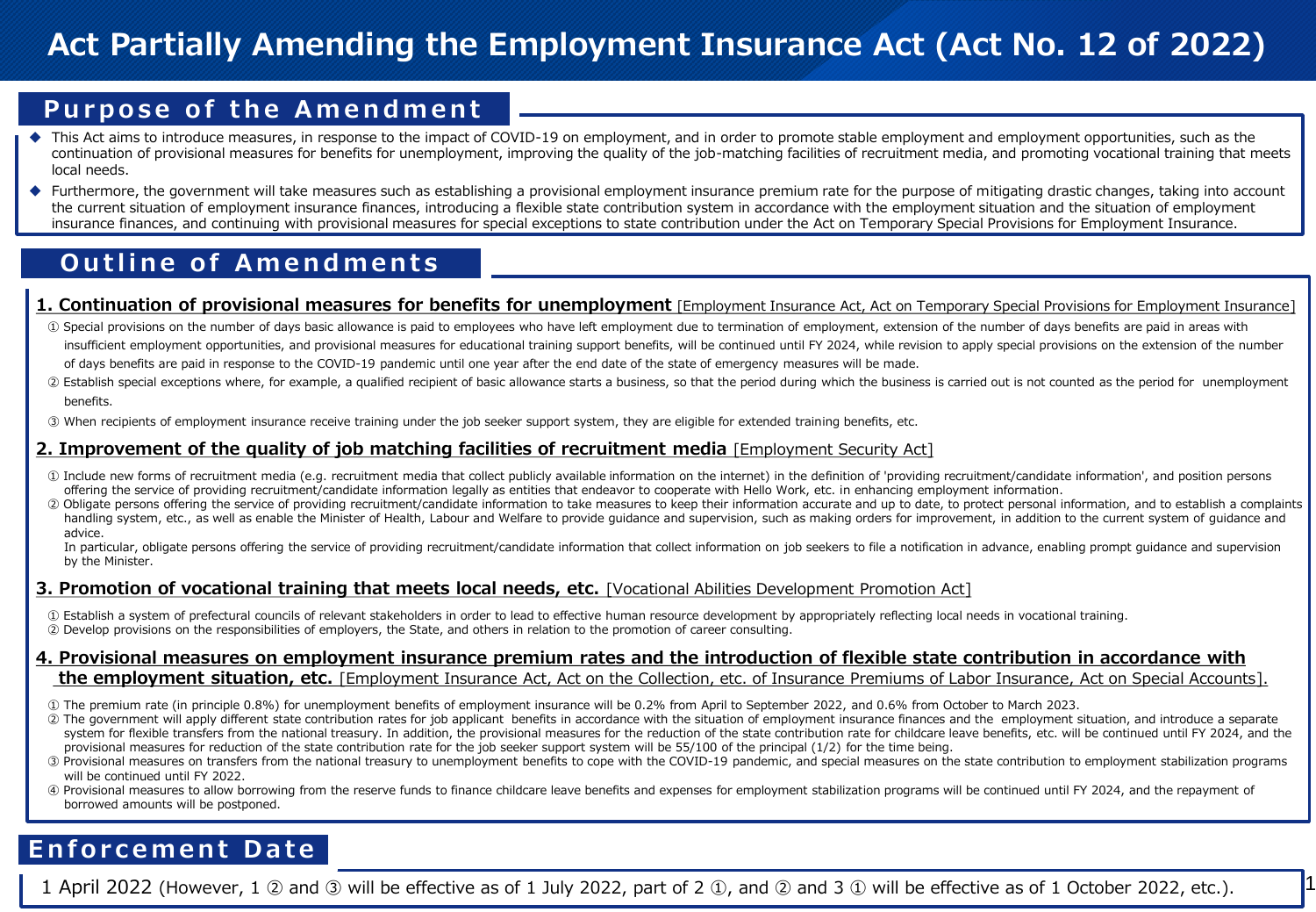# **Act Partially Amending the Employment Insurance Act (Act No. 12 of 2022)**

## **Purpose of the Amendment**

- This Act aims to introduce measures, in response to the impact of COVID-19 on employment, and in order to promote stable employment and employment opportunities, such as the continuation of provisional measures for benefits for unemployment, improving the quality of the job-matching facilities of recruitment media, and promoting vocational training that meets local needs.
- ◆ Furthermore, the government will take measures such as establishing a provisional employment insurance premium rate for the purpose of mitigating drastic changes, taking into account the current situation of employment insurance finances, introducing a flexible state contribution system in accordance with the employment situation and the situation of employment insurance finances, and continuing with provisional measures for special exceptions to state contribution under the Act on Temporary Special Provisions for Employment Insurance.

## **Outline of Amendments**

#### 1. Continuation of provisional measures for benefits for unemployment [Employment Insurance Act, Act on Temporary Special Provisions for Employment Insurance]

- ① Special provisions on the number of days basic allowance is paid to employees who have left employment due to termination of employment, extension of the number of days benefits are paid in areas with insufficient employment opportunities, and provisional measures for educational training support benefits, will be continued until FY 2024, while revision to apply special provisions on the extension of the number of days benefits are paid in response to the COVID-19 pandemic until one year after the end date of the state of emergency measures will be made.
- ② Establish special exceptions where, for example, a qualified recipient of basic allowance starts a business, so that the period during which the business is carried out is not counted as the period for unemployment benefits.
- ③ When recipients of employment insurance receive training under the job seeker support system, they are eligible for extended training benefits, etc.

### **2. Improvement of the quality of job matching facilities of recruitment media** [Employment Security Act]

- ① Include new forms of recruitment media (e.g. recruitment media that collect publicly available information on the internet) in the definition of 'providing recruitment/candidate information', and position persons offering the service of providing recruitment/candidate information legally as entities that endeavor to cooperate with Hello Work, etc. in enhancing employment information.
- ② Obligate persons offering the service of providing recruitment/candidate information to take measures to keep their information accurate and up to date, to protect personal information, and to establish a complaints handling system, etc., as well as enable the Minister of Health, Labour and Welfare to provide quidance and supervision, such as making orders for improvement, in addition to the current system of quidance and advice.

In particular, obligate persons offering the service of providing recruitment/candidate information that collect information on job seekers to file a notification in advance, enabling prompt guidance and supervision by the Minister.

### **3. Promotion of vocational training that meets local needs, etc.** [Vocational Abilities Development Promotion Act]

- ① Establish a system of prefectural councils of relevant stakeholders in order to lead to effective human resource development by appropriately reflecting local needs in vocational training.
- ② Develop provisions on the responsibilities of employers, the State, and others in relation to the promotion of career consulting.

#### **4. Provisional measures on employment insurance premium rates and the introduction of flexible state contribution in accordance with the employment situation, etc.** [Employment Insurance Act, Act on the Collection, etc. of Insurance Premiums of Labor Insurance, Act on Special Accounts].

- ① The premium rate (in principle 0.8%) for unemployment benefits of employment insurance will be 0.2% from April to September 2022, and 0.6% from October to March 2023.
- ② The government will apply different state contribution rates for job applicant benefits in accordance with the situation of employment insurance finances and the employment situation, and introduce a separate system for flexible transfers from the national treasury. In addition, the provisional measures for the reduction of the state contribution rate for childcare leave benefits, etc. will be continued until FY 2024, and the provisional measures for reduction of the state contribution rate for the job seeker support system will be 55/100 of the principal (1/2) for the time being.
- ③ Provisional measures on transfers from the national treasury to unemployment benefits to cope with the COVID-19 pandemic, and special measures on the state contribution to employment stabilization programs will be continued until FY 2022.
- ④ Provisional measures to allow borrowing from the reserve funds to finance childcare leave benefits and expenses for employment stabilization programs will be continued until FY 2024, and the repayment of borrowed amounts will be postponed.

# **Enforcement Date**

1 April 2022 (However, 1 ② and ③ will be effective as of 1 July 2022, part of 2 ①, and ② and 3 ① will be effective as of 1 October 2022, etc.). 1